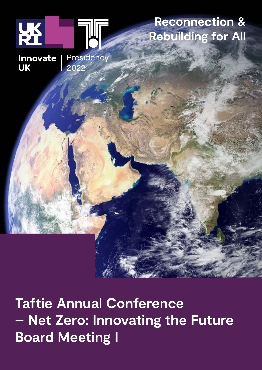

**Taftie Annual Conference – Net Zero: Innovating the Future Board Meeting I**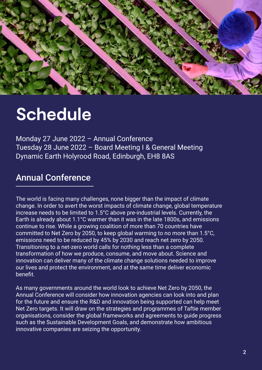

# **Schedule**

Monday 27 June 2022 – Annual Conference Tuesday 28 June 2022 – Board Meeting I & General Meeting Dynamic Earth Holyrood Road, Edinburgh, EH8 8AS

# Annual Conference

The world is facing many challenges, none bigger than the impact of climate change. In order to avert the worst impacts of climate change, global temperature increase needs to be limited to 1.5°C above pre-industrial levels. Currently, the Earth is already about 1.1°C warmer than it was in the late 1800s, and emissions continue to rise. While a growing coalition of more than 70 countries have committed to Net Zero by 2050, to keep global warming to no more than 1.5°C, emissions need to be reduced by 45% by 2030 and reach net zero by 2050. Transitioning to a net-zero world calls for nothing less than a complete transformation of how we produce, consume, and move about. Science and innovation can deliver many of the climate change solutions needed to improve our lives and protect the environment, and at the same time deliver economic benefit.

As many governments around the world look to achieve Net Zero by 2050, the Annual Conference will consider how innovation agencies can look into and plan for the future and ensure the R&D and innovation being supported can help meet Net Zero targets. It will draw on the strategies and programmes of Taftie member organisations, consider the global frameworks and agreements to guide progress such as the Sustainable Development Goals, and demonstrate how ambitious innovative companies are seizing the opportunity.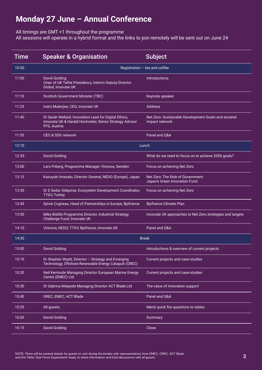# **Monday 27 June – Annual Conference**

All timings are GMT +1 throughout the programme

All sessions will operate in a hybrid format and the links to join remotely will be sent out on June 24

| Time  | <b>Speaker &amp; Organisation</b>                                                                                                 | <b>Subject</b>                                                         |
|-------|-----------------------------------------------------------------------------------------------------------------------------------|------------------------------------------------------------------------|
| 10:30 | Registration $-$ tea and coffee                                                                                                   |                                                                        |
| 11:00 | <b>David Golding</b><br>Chair of UK Taftie Presidency, Interim Deputy-Director<br>Global, Innovate UK                             | <b>Introductions</b>                                                   |
| 11:10 | Scottish Government Minister (TBC)                                                                                                | Keynote speaker                                                        |
| 11:25 | Indro Mukerjee, CEO, Innovate UK                                                                                                  | <b>Address</b>                                                         |
| 11:40 | Dr Sarah Wellard, Innovation Lead for Digital Ethics,<br>Innovate UK & Harald Hochreiter, Senior Strategy Advisor<br>FFG, Austria | Net Zero: Sustainable Development Goals and societal<br>impact network |
| 11:55 | CEO & SDG network                                                                                                                 | Panel and Q&A                                                          |
| 12:10 | Lunch                                                                                                                             |                                                                        |
| 12.55 | <b>David Golding</b>                                                                                                              | What do we need to focus on to achieve 2050 goals?                     |
| 13:00 | Lars Friberg, Programme Manager Vinnova, Sweden                                                                                   | Focus on achieving Net Zero                                            |
| 13:15 | Kazuyuki Imazato, Director General, NEDO (Europe), Japan                                                                          | Net Zero: The Role of Government:<br>Japan's Green Innovation Fund     |
| 13:30 | Dr E Sedar Gökpinar, Ecosystem Development Coordinator,<br><b>TTGV, Turkey</b>                                                    | Focus on achieving Net Zero                                            |
| 13:45 | Sylvie Cogneau, Head of Partnerships in Europe, Bpifrance                                                                         | <b>Bpifrance Climate Plan</b>                                          |
| 13:50 | Mike Biddle Programme Director, Industrial Strategy<br>Challenge Fund, Innovate UK                                                | Innovate UK approaches to Net Zero strategies and targets              |
| 14:10 | Vinnova, NEDO, TTGV, Bpifrance, Innovate UK                                                                                       | Panel and Q&A                                                          |
| 14:30 | <b>Break</b>                                                                                                                      |                                                                        |
| 15:00 | <b>David Golding</b>                                                                                                              | Introductions & overview of current projects                           |
| 15:10 | Dr Stephen Wyatt, Director - Strategy and Emerging<br>Technology, Offshore Renewable Energy Catapult (OREC)                       | Current projects and case-studies                                      |
| 15:20 | Neil Kermode Managing Director European Marine Energy<br>Centre (EMEC) Ltd                                                        | Current projects and case-studies                                      |
| 15:30 | Dr Sabrina Malpede Managing Director ACT Blade Ltd                                                                                | The value of innovation support                                        |
| 15:40 | OREC, EMEC, ACT Blade                                                                                                             | Panel and Q&A                                                          |
| 15:55 | All guests                                                                                                                        | Menti quick fire questions to tables                                   |
| 16:05 | <b>David Golding</b>                                                                                                              | Summary                                                                |
| 16:15 | <b>David Golding</b>                                                                                                              | Close                                                                  |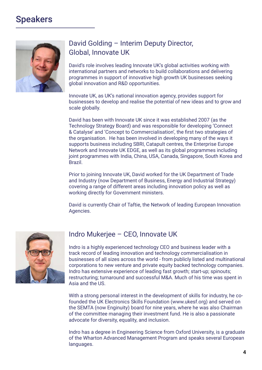

# David Golding – Interim Deputy Director, Global, Innovate UK

David's role involves leading Innovate UK's global activities working with international partners and networks to build collaborations and delivering programmes in support of innovative high growth UK businesses seeking global innovation and R&D opportunities.

Innovate UK, as UK's national innovation agency, provides support for businesses to develop and realise the potential of new ideas and to grow and scale globally.

David has been with Innovate UK since it was established 2007 (as the Technology Strategy Board) and was responsible for developing 'Connect & Catalyse' and 'Concept to Commercialisation', the first two strategies of the organisation. He has been involved in developing many of the ways it supports business including SBRI, Catapult centres, the Enterprise Europe Network and Innovate UK EDGE, as well as its global programmes including joint programmes with India, China, USA, Canada, Singapore, South Korea and Brazil.

Prior to joining Innovate UK, David worked for the UK Department of Trade and Industry (now Department of Business, Energy and Industrial Strategy) covering a range of different areas including innovation policy as well as working directly for Government ministers.

David is currently Chair of Taftie, the Network of leading European Innovation Agencies.



### Indro Mukerjee – CEO, Innovate UK

Indro is a highly experienced technology CEO and business leader with a track record of leading innovation and technology commercialisation in businesses of all sizes across the world - from publicly listed and multinational corporations to new venture and private equity backed technology companies. Indro has extensive experience of leading fast growth; start-up; spinouts; restructuring; turnaround and successful M&A. Much of his time was spent in Asia and the US.

With a strong personal interest in the development of skills for industry, he cofounded the UK Electronics Skills Foundation (www.ukesf.org) and served on the SEMTA (now Enginuity) board for nine years, where he was also Chairman of the committee managing their investment fund. He is also a passionate advocate for diversity, equality, and inclusion.

Indro has a degree in Engineering Science from Oxford University, is a graduate of the Wharton Advanced Management Program and speaks several European languages.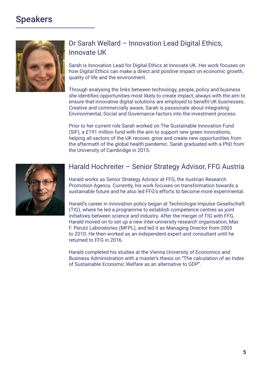

## Dr Sarah Wellard – Innovation Lead Digital Ethics, Innovate UK

Sarah is Innovation Lead for Digital Ethics at Innovate UK. Her work focuses on how Digital Ethics can make a direct and positive impact on economic growth, quality of life and the environment.

Through analysing the links between technology, people, policy and business she identifies opportunities most likely to create impact, always with the aim to ensure that innovative digital solutions are employed to benefit UK businesses. Creative and commercially aware, Sarah is passionate about integrating Environmental, Social and Governance factors into the investment process.

Prior to her current role Sarah worked on The Sustainable Innovation Fund (SIF), a £191 million fund with the aim to support new green innovations, helping all sectors of the UK recover, grow and create new opportunities from the aftermath of the global health pandemic. Sarah graduated with a PhD from the University of Cambridge in 2015.



#### Harald Hochreiter – Senior Strategy Advisor, FFG Austria

Harald works as Senior Strategy Advisor at FFG, the Austrian Research Promotion Agency. Currently, his work focuses on transformation towards a sustainable future and he also led FFG's efforts to become more experimental.

Harald's career in innovation policy began at Technologie Impulse Gesellschaft (TIG), where he led a programme to establish competence centres as joint initiatives between science and industry. After the merger of TIG with FFG, Harald moved on to set up a new inter-university research organisation, Max F. Perutz Laboratories (MFPL), and led it as Managing Director from 2005 to 2010. He then worked as an independent expert and consultant until he returned to FFG in 2016.

Harald completed his studies at the Vienna University of Economics and Business Administration with a master's thesis on "The calculation of an Index of Sustainable Economic Welfare as an alternative to GDP".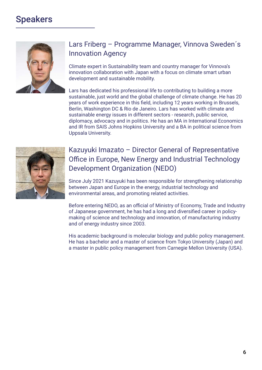

# Lars Friberg – Programme Manager, Vinnova Sweden´s Innovation Agency

Climate expert in Sustainability team and country manager for Vinnova's innovation collaboration with Japan with a focus on climate smart urban development and sustainable mobility.

Lars has dedicated his professional life to contributing to building a more sustainable, just world and the global challenge of climate change. He has 20 years of work experience in this field, including 12 years working in Brussels, Berlin, Washington DC & Rio de Janeiro. Lars has worked with climate and sustainable energy issues in different sectors - research, public service, diplomacy, advocacy and in politics. He has an MA in International Economics and IR from SAIS Johns Hopkins University and a BA in political science from Uppsala University.



# Kazuyuki Imazato – Director General of Representative Office in Europe, New Energy and Industrial Technology Development Organization (NEDO)

Since July 2021 Kazuyuki has been responsible for strengthening relationship between Japan and Europe in the energy, industrial technology and environmental areas, and promoting related activities.

Before entering NEDO, as an official of Ministry of Economy, Trade and Industry of Japanese government, he has had a long and diversified career in policymaking of science and technology and innovation, of manufacturing industry and of energy industry since 2003.

His academic background is molecular biology and public policy management. He has a bachelor and a master of science from Tokyo University (Japan) and a master in public policy management from Carnegie Mellon University (USA).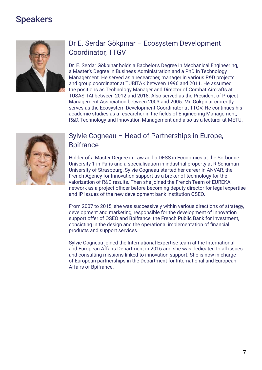

# Dr E. Serdar Gökpınar – Ecosystem Development Coordinator, TTGV

Dr. E. Serdar Gökpınar holds a Bachelor's Degree in Mechanical Engineering, a Master's Degree in Business Administration and a PhD in Technology Management. He served as a researcher, manager in various R&D projects and group coordinator at TÜBİTAK between 1996 and 2011. He assumed the positions as Technology Manager and Director of Combat Aircrafts at TUSAŞ-TAI between 2012 and 2018. Also served as the President of Project Management Association between 2003 and 2005. Mr. Gökpınar currently serves as the Ecosystem Development Coordinator at TTGV. He continues his academic studies as a researcher in the fields of Engineering Management, R&D, Technology and Innovation Management and also as a lecturer at METU.



### Sylvie Cogneau – Head of Partnerships in Europe, **Bpifrance**

Holder of a Master Degree in Law and a DESS in Economics at the Sorbonne University 1 in Paris and a specialisation in industrial property at R.Schuman University of Strasbourg, Sylvie Cogneau started her career in ANVAR, the French Agency for Innovation support as a broker of technology for the valorization of R&D results. Then she joined the French Team of EUREKA network as a project officer before becoming deputy director for legal expertise and IP issues of the new development bank institution OSEO.

From 2007 to 2015, she was successively within various directions of strategy, development and marketing, responsible for the development of Innovation support offer of OSEO and Bpifrance, the French Public Bank for Investment, consisting in the design and the operational implementation of financial products and support services.

Sylvie Cogneau joined the International Expertise team at the International and European Affairs Department in 2016 and she was dedicated to all issues and consulting missions linked to innovation support. She is now in charge of European partnerships in the Department for International and European Affairs of Bpifrance.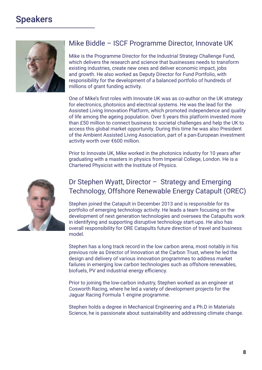

#### Mike Biddle – ISCF Programme Director, Innovate UK

Mike is the Programme Director for the Industrial Strategy Challenge Fund, which delivers the research and science that businesses needs to transform existing industries, create new ones and deliver economic impact, jobs and growth. He also worked as Deputy Director for Fund Portfolio, with responsibility for the development of a balanced portfolio of hundreds of millions of grant funding activity.

One of Mike's first roles with Innovate UK was as co-author on the UK strategy for electronics, photonics and electrical systems. He was the lead for the Assisted Living Innovation Platform, which promoted independence and quality of life among the ageing population. Over 5 years this platform invested more than £50 million to connect business to societal challenges and help the UK to access this global market opportunity. During this time he was also President of the Ambient Assisted Living Association, part of a pan-European investment activity worth over €600 million.

Prior to Innovate UK, Mike worked in the photonics industry for 10 years after graduating with a masters in physics from Imperial College, London. He is a Chartered Physicist with the Institute of Physics.



### Dr Stephen Wyatt, Director – Strategy and Emerging Technology, Offshore Renewable Energy Catapult (OREC)

Stephen joined the Catapult in December 2013 and is responsible for its portfolio of emerging technology activity. He leads a team focusing on the development of next generation technologies and oversees the Catapults work in identifying and supporting disruptive technology start-ups. He also has overall responsibility for ORE Catapults future direction of travel and business model.

Stephen has a long track record in the low carbon arena, most notably in his previous role as Director of Innovation at the Carbon Trust, where he led the design and delivery of various innovation programmes to address market failures in emerging low carbon technologies such as offshore renewables, biofuels, PV and industrial energy efficiency.

Prior to joining the low-carbon industry, Stephen worked as an engineer at Cosworth Racing, where he led a variety of development projects for the Jaguar Racing Formula 1 engine programme.

Stephen holds a degree in Mechanical Engineering and a Ph.D in Materials Science, he is passionate about sustainability and addressing climate change.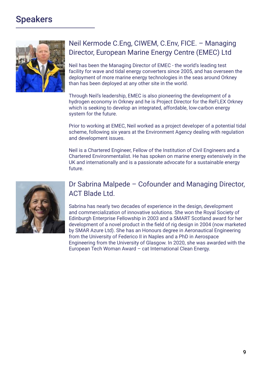

# Neil Kermode C.Eng, CIWEM, C.Env, FICE. – Managing Director, European Marine Energy Centre (EMEC) Ltd

Neil has been the Managing Director of EMEC - the world's leading test facility for wave and tidal energy converters since 2005, and has overseen the deployment of more marine energy technologies in the seas around Orkney than has been deployed at any other site in the world.

Through Neil's leadership, EMEC is also pioneering the development of a hydrogen economy in Orkney and he is Project Director for the ReFLEX Orkney which is seeking to develop an integrated, affordable, low-carbon energy system for the future.

Prior to working at EMEC, Neil worked as a project developer of a potential tidal scheme, following six years at the Environment Agency dealing with regulation and development issues.

Neil is a Chartered Engineer, Fellow of the Institution of Civil Engineers and a Chartered Environmentalist. He has spoken on marine energy extensively in the UK and internationally and is a passionate advocate for a sustainable energy future.



## Dr Sabrina Malpede – Cofounder and Managing Director, ACT Blade Ltd.

Sabrina has nearly two decades of experience in the design, development and commercialization of innovative solutions. She won the Royal Society of Edinburgh Enterprise Fellowship in 2003 and a SMART Scotland award for her development of a novel product in the field of rig design in 2004 (now marketed by SMAR Azure Ltd). She has an Honours degree in Aeronautical Engineering from the University of Federico II in Naples and a PhD in Aerospace Engineering from the University of Glasgow. In 2020, she was awarded with the European Tech Woman Award – cat International Clean Energy.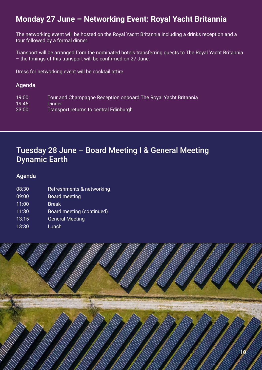# **Monday 27 June – Networking Event: Royal Yacht Britannia**

The networking event will be hosted on the Royal Yacht Britannia including a drinks reception and a tour followed by a formal dinner.

Transport will be arranged from the nominated hotels transferring guests to The Royal Yacht Britannia – the timings of this transport will be confirmed on 27 June.

Dress for networking event will be cocktail attire.

#### Agenda

| 19:00 | Tour and Champagne Reception onboard The Royal Yacht Britannia |
|-------|----------------------------------------------------------------|
| 19:45 | <b>Dinner</b>                                                  |
| 23:00 | Transport returns to central Edinburgh                         |

# Tuesday 28 June – Board Meeting I & General Meeting Dynamic Earth

#### Agenda

- 08:30 Refreshments & networking
- 09:00 Board meeting
- 11:00 Break
- 11:30 Board meeting (continued)
- 13:15 General Meeting
- 13:30 Lunch

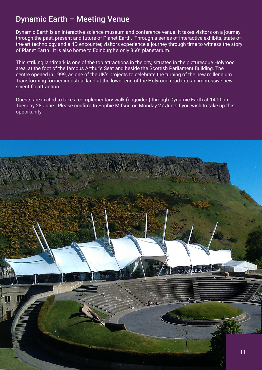# Dynamic Earth – Meeting Venue

Dynamic Earth is an interactive science museum and conference venue. It takes visitors on a journey through the past, present and future of Planet Earth. Through a series of interactive exhibits, state-ofthe-art technology and a 4D encounter, visitors experience a journey through time to witness the story of Planet Earth. It is also home to Edinburgh's only 360° planetarium.

This striking landmark is one of the top attractions in the city, situated in the picturesque Holyrood area, at the foot of the famous Arthur's Seat and beside the Scottish Parliament Building. The centre opened in 1999, as one of the UK's projects to celebrate the turning of the new millennium. Transforming former industrial land at the lower end of the Holyrood road into an impressive new scientific attraction.

Guests are invited to take a complementary walk (unguided) through Dynamic Earth at 1400 on Tuesday 28 June. Please confirm to Sophie Mifsud on Monday 27 June if you wish to take up this opportunity.

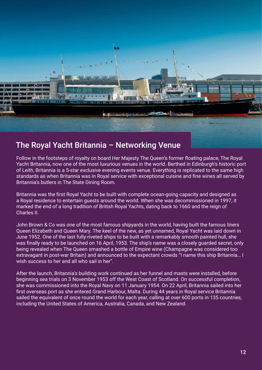

## The Royal Yacht Britannia – Networking Venue

Follow in the footsteps of royalty on board Her Majesty The Queen's former floating palace, The Royal Yacht Britannia, now one of the most luxurious venues in the world. Berthed in Edinburgh's historic port of Leith, Britannia is a 5-star exclusive evening events venue. Everything is replicated to the same high standards as when Britannia was in Royal service with exceptional cuisine and fine wines all served by Britannia's butlers in The State Dining Room.

Britannia was the first Royal Yacht to be built with complete ocean-going capacity and designed as a Royal residence to entertain guests around the world. When she was decommissioned in 1997, it marked the end of a long tradition of British Royal Yachts, dating back to 1660 and the reign of Charles II.

John Brown & Co was one of the most famous shipyards in the world, having built the famous liners Queen Elizabeth and Queen Mary. The keel of the new, as yet unnamed, Royal Yacht was laid down in June 1952. One of the last fully-riveted ships to be built with a remarkably smooth painted hull, she was finally ready to be launched on 16 April, 1953. The ship's name was a closely guarded secret, only being revealed when The Queen smashed a bottle of Empire wine (Champagne was considered too extravagant in post-war Britain) and announced to the expectant crowds "I name this ship Britannia… I wish success to her and all who sail in her".

After the launch, Britannia's building work continued as her funnel and masts were installed, before beginning sea trials on 3 November 1953 off the West Coast of Scotland. On successful completion, she was commissioned into the Royal Navy on 11 January 1954. On 22 April, Britannia sailed into her first overseas port as she entered Grand Harbour, Malta. During 44 years in Royal service Britannia sailed the equivalent of once round the world for each year, calling at over 600 ports in 135 countries, including the United States of America, Australia, Canada, and New Zealand.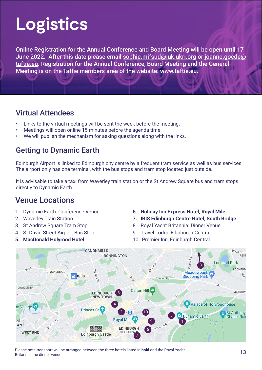# **Logistics**

Online Registration for the Annual Conference and Board Meeting will be open until 17 June 2022. After this date please email [sophie.mifsud@iuk.ukri.org](mailto:sophie.mifsud%40taftie.eu?subject=) or [joanne.goede@](mailto:joanne.goede%40taftie.eu?subject=) [taftie.eu](mailto:joanne.goede%40taftie.eu?subject=). Registration for the Annual Conference, Board Meeting and the General Meeting is on the Taftie members area of the website: www.taftie.eu.

## Virtual Attendees

- Links to the virtual meetings will be sent the week before the meeting.
- Meetings will open online 15 minutes before the agenda time.
- We will publish the mechanism for asking questions along with the links.

# Getting to Dynamic Earth

Edinburgh Airport is linked to Edinburgh city centre by a frequent tram service as well as bus services. The airport only has one terminal, with the bus stops and tram stop located just outside.

It is advisable to take a taxi from Waverley train station or the St Andrew Square bus and tram stops directly to Dynamic Earth.

# Venue Locations

- 1. Dynamic Earth: Conference Venue
- 2. Waverley Train Station
- 3. St Andrew Square Tram Stop
- 4. St David Street Airport Bus Stop
- **5. MacDonald Holyrood Hotel**
- **6. Holiday Inn Express Hotel, Royal Mile**
- **7. IBIS Edinburgh Centre Hotel, South Bridge**
- 8. Royal Yacht Britannia: Dinner Venue
- 9. Travel Lodge Edinburgh Central
- 10. Premier Inn, Edinburgh Central



Please note transport will be arranged between the three hotels listed in **bold** and the Royal Yacht Britannia, the dinner venue.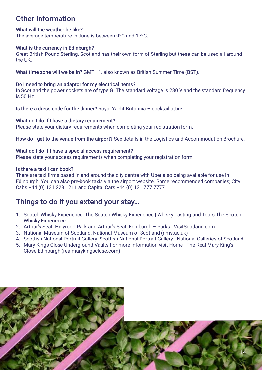# Other Information

#### What will the weather be like?

The average temperature in June is between 9ºC and 17ºC.

#### What is the currency in Edinburgh?

Great British Pound Sterling. Scotland has their own form of Sterling but these can be used all around the UK.

What time zone will we be in? GMT +1, also known as British Summer Time (BST).

#### Do I need to bring an adaptor for my electrical items?

In Scotland the power sockets are of type G. The standard voltage is 230 V and the standard frequency is 50 Hz.

Is there a dress code for the dinner? Royal Yacht Britannia – cocktail attire.

#### What do I do if I have a dietary requirement?

Please state your dietary requirements when completing your registration form.

How do I get to the venue from the airport? See details in the Logistics and Accommodation Brochure.

#### What do I do if I have a special access requirement?

Please state your access requirements when completing your registration form.

#### Is there a taxi I can book?

There are taxi firms based in and around the city centre with Uber also being available for use in Edinburgh. You can also pre-book taxis via the airport website. Some recommended companies; City Cabs +44 (0) 131 228 1211 and Capital Cars +44 (0) 131 777 7777.

## Things to do if you extend your stay…

- 1. Scotch Whisky Experience: The Scotch Whisky Experience | Whisky Tasting and Tours The Scotch [Whisky Experience](https://www.scotchwhiskyexperience.co.uk/)
- 2. Arthur's Seat: Holyrood Park and Arthur's Seat, Edinburgh Parks | [VisitScotland.](https://www.visitscotland.com/)com
- 3. National Museum of Scotland: National Museum of Scotland [\(nms.ac.uk](https://www.nms.ac.uk/))
- 4. Scottish National Portrait Gallery: [Scottish National Portrait Gallery | National Galleries of Scotland](https://www.nationalgalleries.org/visit/scottish-national-portrait-gallery)
- 5. Mary Kings Close Underground Vaults For more information visit Home The Real Mary King's Close Edinburgh ([realmarykingsclose.com](https://www.realmarykingsclose.com/))